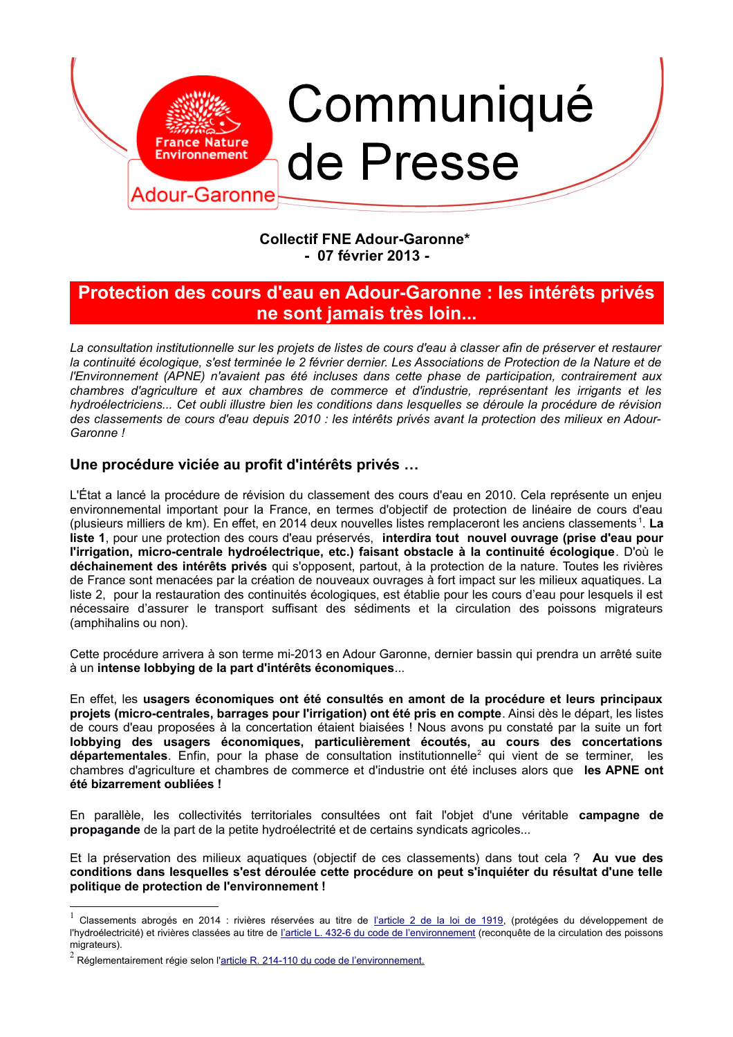

### **Collectif FNE Adour-Garonne\*** - 07 février 2013 -

# Protection des cours d'eau en Adour-Garonne : les intérêts privés ne sont jamais très loin...

La consultation institutionnelle sur les projets de listes de cours d'eau à classer afin de préserver et restaurer la continuité écologique, s'est terminée le 2 février dernier. Les Associations de Protection de la Nature et de l'Environnement (APNE) n'avaient pas été incluses dans cette phase de participation, contrairement aux chambres d'agriculture et aux chambres de commerce et d'industrie, représentant les irrigants et les hydroélectriciens... Cet oubli illustre bien les conditions dans lesquelles se déroule la procédure de révision des classements de cours d'eau depuis 2010 : les intérêts privés avant la protection des milieux en Adour-Garonne!

### Une procédure viciée au profit d'intérêts privés ...

L'État a lancé la procédure de révision du classement des cours d'eau en 2010. Cela représente un enjeu environnemental important pour la France, en termes d'objectif de protection de linéaire de cours d'eau (plusieurs milliers de km). En effet, en 2014 deux nouvelles listes remplaceront les anciens classements<sup>1</sup>. La liste 1, pour une protection des cours d'eau préservés, interdira tout nouvel ouvrage (prise d'eau pour l'irrigation, micro-centrale hydroélectrique, etc.) faisant obstacle à la continuité écologique. D'où le déchainement des intérêts privés qui s'opposent, partout, à la protection de la nature. Toutes les rivières de France sont menacées par la création de nouveaux ouvrages à fort impact sur les milieux aquatiques. La liste 2, pour la restauration des continuités écologiques, est établie pour les cours d'eau pour lesquels il est nécessaire d'assurer le transport suffisant des sédiments et la circulation des poissons migrateurs (amphihalins ou non).

Cette procédure arrivera à son terme mi-2013 en Adour Garonne, dernier bassin qui prendra un arrêté suite à un intense lobbying de la part d'intérêts économiques...

En effet, les usagers économiques ont été consultés en amont de la procédure et leurs principaux projets (micro-centrales, barrages pour l'irrigation) ont été pris en compte. Ainsi dès le départ, les listes de cours d'eau proposées à la concertation étaient biaisées ! Nous avons pu constaté par la suite un fort lobbying des usagers économiques, particulièrement écoutés, au cours des concertations départementales. Enfin, pour la phase de consultation institutionnelle<sup>2</sup> qui vient de se terminer, les chambres d'agriculture et chambres de commerce et d'industrie ont été incluses alors que les APNE ont été bizarrement oubliées !

En parallèle, les collectivités territoriales consultées ont fait l'objet d'une véritable campagne de propagande de la part de la petite hydroélectrité et de certains syndicats agricoles...

Et la préservation des milieux aquatiques (objectif de ces classements) dans tout cela ? Au vue des conditions dans lesquelles s'est déroulée cette procédure on peut s'inquiéter du résultat d'une telle politique de protection de l'environnement !

<span id="page-0-0"></span>Classements abrogés en 2014 : rivières réservées au titre de l'article 2 de la loi de 1919, (protégées du développement de l'hydroélectricité) et rivières classées au titre de l'article L. 432-6 du code de l'environnement (reconquête de la circulation des poissons migrateurs).

<span id="page-0-1"></span> $2$  Réglementairement régie selon l'article R. 214-110 du code de l'environnement.